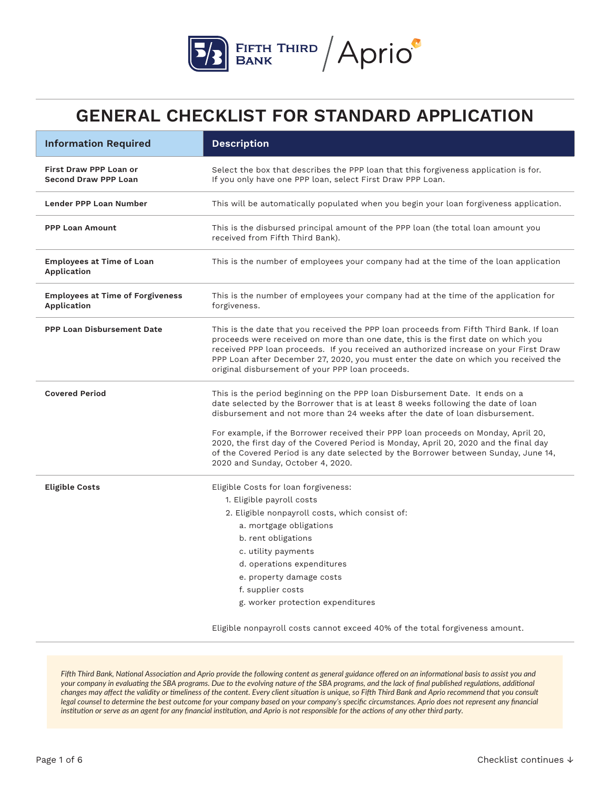

| <b>Information Required</b>                                  | <b>Description</b>                                                                                                                                                                                                                                                                                                                                                                                               |
|--------------------------------------------------------------|------------------------------------------------------------------------------------------------------------------------------------------------------------------------------------------------------------------------------------------------------------------------------------------------------------------------------------------------------------------------------------------------------------------|
| <b>First Draw PPP Loan or</b><br><b>Second Draw PPP Loan</b> | Select the box that describes the PPP loan that this forgiveness application is for.<br>If you only have one PPP loan, select First Draw PPP Loan.                                                                                                                                                                                                                                                               |
| Lender PPP Loan Number                                       | This will be automatically populated when you begin your loan forgiveness application.                                                                                                                                                                                                                                                                                                                           |
| <b>PPP Loan Amount</b>                                       | This is the disbursed principal amount of the PPP loan (the total loan amount you<br>received from Fifth Third Bank).                                                                                                                                                                                                                                                                                            |
| <b>Employees at Time of Loan</b><br>Application              | This is the number of employees your company had at the time of the loan application                                                                                                                                                                                                                                                                                                                             |
| <b>Employees at Time of Forgiveness</b><br>Application       | This is the number of employees your company had at the time of the application for<br>forgiveness.                                                                                                                                                                                                                                                                                                              |
| <b>PPP Loan Disbursement Date</b>                            | This is the date that you received the PPP loan proceeds from Fifth Third Bank. If loan<br>proceeds were received on more than one date, this is the first date on which you<br>received PPP loan proceeds. If you received an authorized increase on your First Draw<br>PPP Loan after December 27, 2020, you must enter the date on which you received the<br>original disbursement of your PPP loan proceeds. |
| <b>Covered Period</b>                                        | This is the period beginning on the PPP loan Disbursement Date. It ends on a<br>date selected by the Borrower that is at least 8 weeks following the date of loan<br>disbursement and not more than 24 weeks after the date of loan disbursement.                                                                                                                                                                |
|                                                              | For example, if the Borrower received their PPP loan proceeds on Monday, April 20,<br>2020, the first day of the Covered Period is Monday, April 20, 2020 and the final day<br>of the Covered Period is any date selected by the Borrower between Sunday, June 14,<br>2020 and Sunday, October 4, 2020.                                                                                                          |
| <b>Eligible Costs</b>                                        | Eligible Costs for loan forgiveness:                                                                                                                                                                                                                                                                                                                                                                             |
|                                                              | 1. Eligible payroll costs                                                                                                                                                                                                                                                                                                                                                                                        |
|                                                              | 2. Eligible nonpayroll costs, which consist of:                                                                                                                                                                                                                                                                                                                                                                  |
|                                                              | a. mortgage obligations                                                                                                                                                                                                                                                                                                                                                                                          |
|                                                              | b. rent obligations                                                                                                                                                                                                                                                                                                                                                                                              |
|                                                              | c. utility payments                                                                                                                                                                                                                                                                                                                                                                                              |
|                                                              | d. operations expenditures                                                                                                                                                                                                                                                                                                                                                                                       |
|                                                              | e. property damage costs                                                                                                                                                                                                                                                                                                                                                                                         |
|                                                              | f. supplier costs<br>g. worker protection expenditures                                                                                                                                                                                                                                                                                                                                                           |
|                                                              |                                                                                                                                                                                                                                                                                                                                                                                                                  |
|                                                              | Eligible nonpayroll costs cannot exceed 40% of the total forgiveness amount.                                                                                                                                                                                                                                                                                                                                     |

*Fifth Third Bank, National Association and Aprio provide the following content as general guidance offered on an informational basis to assist you and your company in evaluating the SBA programs. Due to the evolving nature of the SBA programs, and the lack of final published regulations, additional changes may affect the validity or timeliness of the content. Every client situation is unique, so Fifth Third Bank and Aprio recommend that you consult*  legal counsel to determine the best outcome for your company based on your company's specific circumstances. Aprio does not represent any financial *institution or serve as an agent for any financial institution, and Aprio is not responsible for the actions of any other third party.*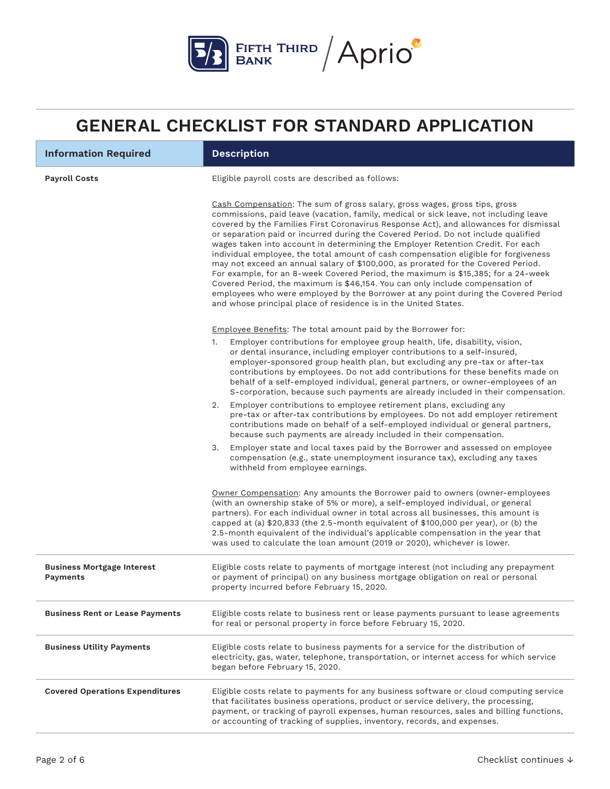

| <b>Information Required</b>                   | <b>Description</b>                                                                                                                                                                                                                                                                                                                                                                                                                                                                                                                                                                                                                                                                                                                                                                                                                                                                                                                               |
|-----------------------------------------------|--------------------------------------------------------------------------------------------------------------------------------------------------------------------------------------------------------------------------------------------------------------------------------------------------------------------------------------------------------------------------------------------------------------------------------------------------------------------------------------------------------------------------------------------------------------------------------------------------------------------------------------------------------------------------------------------------------------------------------------------------------------------------------------------------------------------------------------------------------------------------------------------------------------------------------------------------|
| <b>Payroll Costs</b>                          | Eligible payroll costs are described as follows:                                                                                                                                                                                                                                                                                                                                                                                                                                                                                                                                                                                                                                                                                                                                                                                                                                                                                                 |
|                                               | Cash Compensation: The sum of gross salary, gross wages, gross tips, gross<br>commissions, paid leave (vacation, family, medical or sick leave, not including leave<br>covered by the Families First Coronavirus Response Act), and allowances for dismissal<br>or separation paid or incurred during the Covered Period. Do not include qualified<br>wages taken into account in determining the Employer Retention Credit. For each<br>individual employee, the total amount of cash compensation eligible for forgiveness<br>may not exceed an annual salary of \$100,000, as prorated for the Covered Period.<br>For example, for an 8-week Covered Period, the maximum is \$15,385; for a 24-week<br>Covered Period, the maximum is \$46,154. You can only include compensation of<br>employees who were employed by the Borrower at any point during the Covered Period<br>and whose principal place of residence is in the United States. |
|                                               | Employee Benefits: The total amount paid by the Borrower for:                                                                                                                                                                                                                                                                                                                                                                                                                                                                                                                                                                                                                                                                                                                                                                                                                                                                                    |
|                                               | Employer contributions for employee group health, life, disability, vision,<br>1.<br>or dental insurance, including employer contributions to a self-insured,<br>employer-sponsored group health plan, but excluding any pre-tax or after-tax<br>contributions by employees. Do not add contributions for these benefits made on<br>behalf of a self-employed individual, general partners, or owner-employees of an<br>S-corporation, because such payments are already included in their compensation.                                                                                                                                                                                                                                                                                                                                                                                                                                         |
|                                               | 2. Employer contributions to employee retirement plans, excluding any<br>pre-tax or after-tax contributions by employees. Do not add employer retirement<br>contributions made on behalf of a self-employed individual or general partners,<br>because such payments are already included in their compensation.                                                                                                                                                                                                                                                                                                                                                                                                                                                                                                                                                                                                                                 |
|                                               | Employer state and local taxes paid by the Borrower and assessed on employee<br>3.<br>compensation (e.g., state unemployment insurance tax), excluding any taxes<br>withheld from employee earnings.                                                                                                                                                                                                                                                                                                                                                                                                                                                                                                                                                                                                                                                                                                                                             |
|                                               | Owner Compensation: Any amounts the Borrower paid to owners (owner-employees<br>(with an ownership stake of 5% or more), a self-employed individual, or general<br>partners). For each individual owner in total across all businesses, this amount is<br>capped at (a) \$20,833 (the 2.5-month equivalent of \$100,000 per year), or (b) the<br>2.5-month equivalent of the individual's applicable compensation in the year that<br>was used to calculate the loan amount (2019 or 2020), whichever is lower.                                                                                                                                                                                                                                                                                                                                                                                                                                  |
| <b>Business Mortgage Interest</b><br>Payments | Eligible costs relate to payments of mortgage interest (not including any prepayment<br>or payment of principal) on any business mortgage obligation on real or personal<br>property incurred before February 15, 2020.                                                                                                                                                                                                                                                                                                                                                                                                                                                                                                                                                                                                                                                                                                                          |
| <b>Business Rent or Lease Payments</b>        | Eligible costs relate to business rent or lease payments pursuant to lease agreements<br>for real or personal property in force before February 15, 2020.                                                                                                                                                                                                                                                                                                                                                                                                                                                                                                                                                                                                                                                                                                                                                                                        |
| <b>Business Utility Payments</b>              | Eligible costs relate to business payments for a service for the distribution of<br>electricity, gas, water, telephone, transportation, or internet access for which service<br>began before February 15, 2020.                                                                                                                                                                                                                                                                                                                                                                                                                                                                                                                                                                                                                                                                                                                                  |
| <b>Covered Operations Expenditures</b>        | Eligible costs relate to payments for any business software or cloud computing service<br>that facilitates business operations, product or service delivery, the processing,<br>payment, or tracking of payroll expenses, human resources, sales and billing functions,<br>or accounting of tracking of supplies, inventory, records, and expenses.                                                                                                                                                                                                                                                                                                                                                                                                                                                                                                                                                                                              |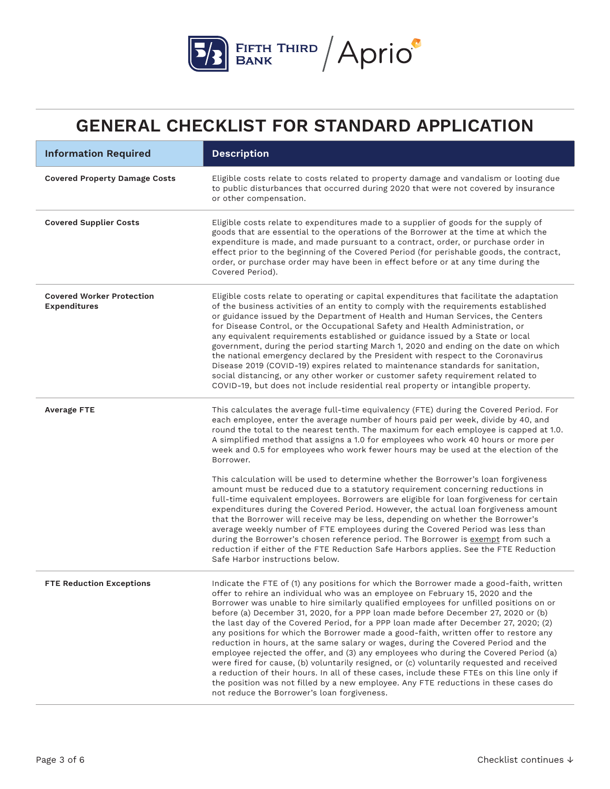

| <b>Information Required</b>                             | <b>Description</b>                                                                                                                                                                                                                                                                                                                                                                                                                                                                                                                                                                                                                                                                                                                                                                                                                                                                                                                                                                                                                                      |
|---------------------------------------------------------|---------------------------------------------------------------------------------------------------------------------------------------------------------------------------------------------------------------------------------------------------------------------------------------------------------------------------------------------------------------------------------------------------------------------------------------------------------------------------------------------------------------------------------------------------------------------------------------------------------------------------------------------------------------------------------------------------------------------------------------------------------------------------------------------------------------------------------------------------------------------------------------------------------------------------------------------------------------------------------------------------------------------------------------------------------|
| <b>Covered Property Damage Costs</b>                    | Eligible costs relate to costs related to property damage and vandalism or looting due<br>to public disturbances that occurred during 2020 that were not covered by insurance<br>or other compensation.                                                                                                                                                                                                                                                                                                                                                                                                                                                                                                                                                                                                                                                                                                                                                                                                                                                 |
| <b>Covered Supplier Costs</b>                           | Eligible costs relate to expenditures made to a supplier of goods for the supply of<br>goods that are essential to the operations of the Borrower at the time at which the<br>expenditure is made, and made pursuant to a contract, order, or purchase order in<br>effect prior to the beginning of the Covered Period (for perishable goods, the contract,<br>order, or purchase order may have been in effect before or at any time during the<br>Covered Period).                                                                                                                                                                                                                                                                                                                                                                                                                                                                                                                                                                                    |
| <b>Covered Worker Protection</b><br><b>Expenditures</b> | Eligible costs relate to operating or capital expenditures that facilitate the adaptation<br>of the business activities of an entity to comply with the requirements established<br>or guidance issued by the Department of Health and Human Services, the Centers<br>for Disease Control, or the Occupational Safety and Health Administration, or<br>any equivalent requirements established or guidance issued by a State or local<br>government, during the period starting March 1, 2020 and ending on the date on which<br>the national emergency declared by the President with respect to the Coronavirus<br>Disease 2019 (COVID-19) expires related to maintenance standards for sanitation,<br>social distancing, or any other worker or customer safety requirement related to<br>COVID-19, but does not include residential real property or intangible property.                                                                                                                                                                           |
| <b>Average FTE</b>                                      | This calculates the average full-time equivalency (FTE) during the Covered Period. For<br>each employee, enter the average number of hours paid per week, divide by 40, and<br>round the total to the nearest tenth. The maximum for each employee is capped at 1.0.<br>A simplified method that assigns a 1.0 for employees who work 40 hours or more per<br>week and 0.5 for employees who work fewer hours may be used at the election of the<br>Borrower.                                                                                                                                                                                                                                                                                                                                                                                                                                                                                                                                                                                           |
|                                                         | This calculation will be used to determine whether the Borrower's loan forgiveness<br>amount must be reduced due to a statutory requirement concerning reductions in<br>full-time equivalent employees. Borrowers are eligible for loan forgiveness for certain<br>expenditures during the Covered Period. However, the actual loan forgiveness amount<br>that the Borrower will receive may be less, depending on whether the Borrower's<br>average weekly number of FTE employees during the Covered Period was less than<br>during the Borrower's chosen reference period. The Borrower is exempt from such a<br>reduction if either of the FTE Reduction Safe Harbors applies. See the FTE Reduction<br>Safe Harbor instructions below.                                                                                                                                                                                                                                                                                                             |
| <b>FTE Reduction Exceptions</b>                         | Indicate the FTE of (1) any positions for which the Borrower made a good-faith, written<br>offer to rehire an individual who was an employee on February 15, 2020 and the<br>Borrower was unable to hire similarly qualified employees for unfilled positions on or<br>before (a) December 31, 2020, for a PPP loan made before December 27, 2020 or (b)<br>the last day of the Covered Period, for a PPP loan made after December 27, 2020; (2)<br>any positions for which the Borrower made a good-faith, written offer to restore any<br>reduction in hours, at the same salary or wages, during the Covered Period and the<br>employee rejected the offer, and (3) any employees who during the Covered Period (a)<br>were fired for cause, (b) voluntarily resigned, or (c) voluntarily requested and received<br>a reduction of their hours. In all of these cases, include these FTEs on this line only if<br>the position was not filled by a new employee. Any FTE reductions in these cases do<br>not reduce the Borrower's loan forgiveness. |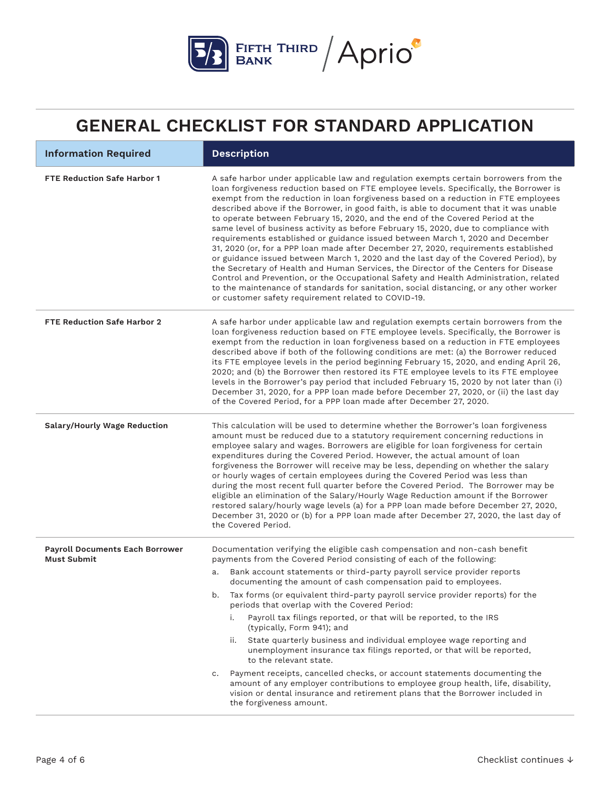

| <b>Information Required</b>                                  | <b>Description</b>                                                                                                                                                                                                                                                                                                                                                                                                                                                                                                                                                                                                                                                                                                                                                                                                                                                                                                                                                                                                                                                                                                                         |
|--------------------------------------------------------------|--------------------------------------------------------------------------------------------------------------------------------------------------------------------------------------------------------------------------------------------------------------------------------------------------------------------------------------------------------------------------------------------------------------------------------------------------------------------------------------------------------------------------------------------------------------------------------------------------------------------------------------------------------------------------------------------------------------------------------------------------------------------------------------------------------------------------------------------------------------------------------------------------------------------------------------------------------------------------------------------------------------------------------------------------------------------------------------------------------------------------------------------|
| <b>FTE Reduction Safe Harbor 1</b>                           | A safe harbor under applicable law and regulation exempts certain borrowers from the<br>loan forgiveness reduction based on FTE employee levels. Specifically, the Borrower is<br>exempt from the reduction in loan forgiveness based on a reduction in FTE employees<br>described above if the Borrower, in good faith, is able to document that it was unable<br>to operate between February 15, 2020, and the end of the Covered Period at the<br>same level of business activity as before February 15, 2020, due to compliance with<br>requirements established or guidance issued between March 1, 2020 and December<br>31, 2020 (or, for a PPP loan made after December 27, 2020, requirements established<br>or guidance issued between March 1, 2020 and the last day of the Covered Period), by<br>the Secretary of Health and Human Services, the Director of the Centers for Disease<br>Control and Prevention, or the Occupational Safety and Health Administration, related<br>to the maintenance of standards for sanitation, social distancing, or any other worker<br>or customer safety requirement related to COVID-19. |
| <b>FTE Reduction Safe Harbor 2</b>                           | A safe harbor under applicable law and regulation exempts certain borrowers from the<br>loan forgiveness reduction based on FTE employee levels. Specifically, the Borrower is<br>exempt from the reduction in loan forgiveness based on a reduction in FTE employees<br>described above if both of the following conditions are met: (a) the Borrower reduced<br>its FTE employee levels in the period beginning February 15, 2020, and ending April 26,<br>2020; and (b) the Borrower then restored its FTE employee levels to its FTE employee<br>levels in the Borrower's pay period that included February 15, 2020 by not later than (i)<br>December 31, 2020, for a PPP loan made before December 27, 2020, or (ii) the last day<br>of the Covered Period, for a PPP loan made after December 27, 2020.                                                                                                                                                                                                                                                                                                                             |
| Salary/Hourly Wage Reduction                                 | This calculation will be used to determine whether the Borrower's loan forgiveness<br>amount must be reduced due to a statutory requirement concerning reductions in<br>employee salary and wages. Borrowers are eligible for loan forgiveness for certain<br>expenditures during the Covered Period. However, the actual amount of loan<br>forgiveness the Borrower will receive may be less, depending on whether the salary<br>or hourly wages of certain employees during the Covered Period was less than<br>during the most recent full quarter before the Covered Period. The Borrower may be<br>eligible an elimination of the Salary/Hourly Wage Reduction amount if the Borrower<br>restored salary/hourly wage levels (a) for a PPP loan made before December 27, 2020,<br>December 31, 2020 or (b) for a PPP loan made after December 27, 2020, the last day of<br>the Covered Period.                                                                                                                                                                                                                                         |
| <b>Payroll Documents Each Borrower</b><br><b>Must Submit</b> | Documentation verifying the eligible cash compensation and non-cash benefit<br>payments from the Covered Period consisting of each of the following:                                                                                                                                                                                                                                                                                                                                                                                                                                                                                                                                                                                                                                                                                                                                                                                                                                                                                                                                                                                       |
|                                                              | Bank account statements or third-party payroll service provider reports<br>a.<br>documenting the amount of cash compensation paid to employees.                                                                                                                                                                                                                                                                                                                                                                                                                                                                                                                                                                                                                                                                                                                                                                                                                                                                                                                                                                                            |
|                                                              | Tax forms (or equivalent third-party payroll service provider reports) for the<br>b.<br>periods that overlap with the Covered Period:                                                                                                                                                                                                                                                                                                                                                                                                                                                                                                                                                                                                                                                                                                                                                                                                                                                                                                                                                                                                      |
|                                                              | Payroll tax filings reported, or that will be reported, to the IRS<br>i.<br>(typically, Form 941); and                                                                                                                                                                                                                                                                                                                                                                                                                                                                                                                                                                                                                                                                                                                                                                                                                                                                                                                                                                                                                                     |
|                                                              | State quarterly business and individual employee wage reporting and<br>ii.<br>unemployment insurance tax filings reported, or that will be reported,<br>to the relevant state.                                                                                                                                                                                                                                                                                                                                                                                                                                                                                                                                                                                                                                                                                                                                                                                                                                                                                                                                                             |
|                                                              | Payment receipts, cancelled checks, or account statements documenting the<br>C.<br>amount of any employer contributions to employee group health, life, disability,<br>vision or dental insurance and retirement plans that the Borrower included in<br>the forgiveness amount.                                                                                                                                                                                                                                                                                                                                                                                                                                                                                                                                                                                                                                                                                                                                                                                                                                                            |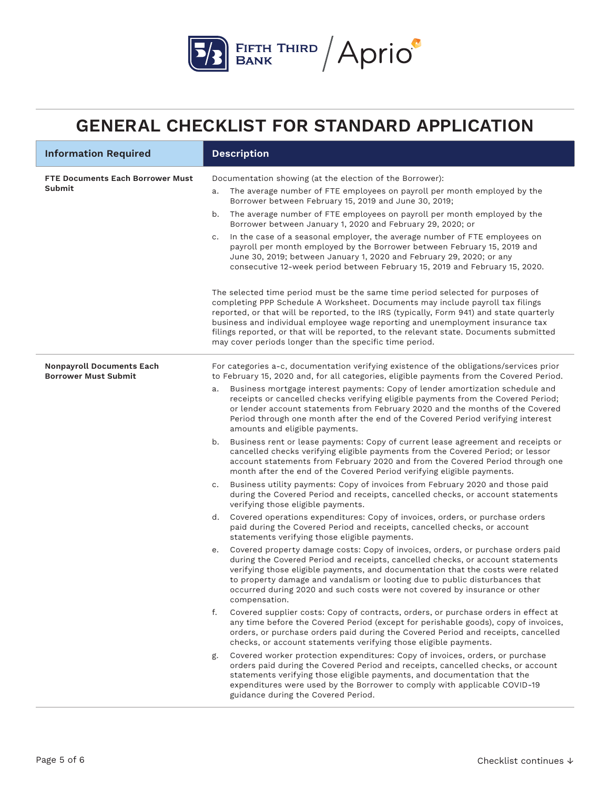

| <b>Information Required</b>                                     | <b>Description</b>                                                                                                                                                                                                                                                                                                                                                                                                                                                                                                                                                                                                                                                                                                                                                                                                                                                                                                                                                                                                                                                                                                                                                                                                                                                                                                                                                                                                                                                                                                                                                                                                                                                                                                                                                                                                                                                                                                                                                                                                                                                                                                                                                                                                                                                                                                                                                                                                                                                          |
|-----------------------------------------------------------------|-----------------------------------------------------------------------------------------------------------------------------------------------------------------------------------------------------------------------------------------------------------------------------------------------------------------------------------------------------------------------------------------------------------------------------------------------------------------------------------------------------------------------------------------------------------------------------------------------------------------------------------------------------------------------------------------------------------------------------------------------------------------------------------------------------------------------------------------------------------------------------------------------------------------------------------------------------------------------------------------------------------------------------------------------------------------------------------------------------------------------------------------------------------------------------------------------------------------------------------------------------------------------------------------------------------------------------------------------------------------------------------------------------------------------------------------------------------------------------------------------------------------------------------------------------------------------------------------------------------------------------------------------------------------------------------------------------------------------------------------------------------------------------------------------------------------------------------------------------------------------------------------------------------------------------------------------------------------------------------------------------------------------------------------------------------------------------------------------------------------------------------------------------------------------------------------------------------------------------------------------------------------------------------------------------------------------------------------------------------------------------------------------------------------------------------------------------------------------------|
| FTE Documents Each Borrower Must<br><b>Submit</b>               | Documentation showing (at the election of the Borrower):<br>The average number of FTE employees on payroll per month employed by the<br>a.<br>Borrower between February 15, 2019 and June 30, 2019;<br>The average number of FTE employees on payroll per month employed by the<br>b.<br>Borrower between January 1, 2020 and February 29, 2020; or<br>In the case of a seasonal employer, the average number of FTE employees on<br>c.<br>payroll per month employed by the Borrower between February 15, 2019 and<br>June 30, 2019; between January 1, 2020 and February 29, 2020; or any<br>consecutive 12-week period between February 15, 2019 and February 15, 2020.<br>The selected time period must be the same time period selected for purposes of<br>completing PPP Schedule A Worksheet. Documents may include payroll tax filings<br>reported, or that will be reported, to the IRS (typically, Form 941) and state quarterly<br>business and individual employee wage reporting and unemployment insurance tax<br>filings reported, or that will be reported, to the relevant state. Documents submitted<br>may cover periods longer than the specific time period.                                                                                                                                                                                                                                                                                                                                                                                                                                                                                                                                                                                                                                                                                                                                                                                                                                                                                                                                                                                                                                                                                                                                                                                                                                                                                           |
| <b>Nonpayroll Documents Each</b><br><b>Borrower Must Submit</b> | For categories a-c, documentation verifying existence of the obligations/services prior<br>to February 15, 2020 and, for all categories, eligible payments from the Covered Period.<br>Business mortgage interest payments: Copy of lender amortization schedule and<br>a.<br>receipts or cancelled checks verifying eligible payments from the Covered Period;<br>or lender account statements from February 2020 and the months of the Covered<br>Period through one month after the end of the Covered Period verifying interest<br>amounts and eligible payments.<br>b. Business rent or lease payments: Copy of current lease agreement and receipts or<br>cancelled checks verifying eligible payments from the Covered Period; or lessor<br>account statements from February 2020 and from the Covered Period through one<br>month after the end of the Covered Period verifying eligible payments.<br>Business utility payments: Copy of invoices from February 2020 and those paid<br>c.<br>during the Covered Period and receipts, cancelled checks, or account statements<br>verifying those eligible payments.<br>Covered operations expenditures: Copy of invoices, orders, or purchase orders<br>d.<br>paid during the Covered Period and receipts, cancelled checks, or account<br>statements verifying those eligible payments.<br>e. Covered property damage costs: Copy of invoices, orders, or purchase orders paid<br>during the Covered Period and receipts, cancelled checks, or account statements<br>verifying those eligible payments, and documentation that the costs were related<br>to property damage and vandalism or looting due to public disturbances that<br>occurred during 2020 and such costs were not covered by insurance or other<br>compensation.<br>f.<br>Covered supplier costs: Copy of contracts, orders, or purchase orders in effect at<br>any time before the Covered Period (except for perishable goods), copy of invoices,<br>orders, or purchase orders paid during the Covered Period and receipts, cancelled<br>checks, or account statements verifying those eligible payments.<br>Covered worker protection expenditures: Copy of invoices, orders, or purchase<br>g.<br>orders paid during the Covered Period and receipts, cancelled checks, or account<br>statements verifying those eligible payments, and documentation that the<br>expenditures were used by the Borrower to comply with applicable COVID-19 |